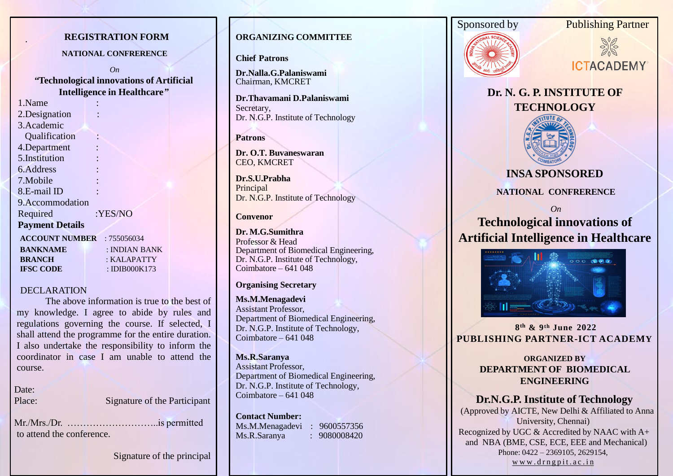# **REGISTRATION FORM**

#### **NATIONAL CONFRERENCE**

*On "***Technological innovations of Artificial Intelligence in Healthcare***"*

1.Name : 2.Designation 3.Academic Qualification : 4.Department : 5.Institution : 6.Address : 7.Mobile : 8.E-mail ID : 9.Accommodation Required :YES/NO **Payment Details ACCOUNT NUMBER** : 755056034  **BANKNAME** : INDIAN BANK  **BRANCH** : KALAPATTY

 **IFSC CODE** : IDIB000K173

#### DECLARATION

The above information is true to the best of my knowledge. I agree to abide by rules and regulations governing the course. If selected, I shall attend the programme for the entire duration. I also undertake the responsibility to inform the coordinator in case I am unable to attend the course.

Date:

Place: Signature of the Participant

Mr./Mrs./Dr. ………………………..is permitted to attend the conference.

Signature of the principal

# . **ORGANIZING COMMITTEE**

**Chief Patrons**

**Dr.Nalla.G.Palaniswami**  Chairman, KMCRET

**Dr.Thavamani D.Palaniswami**  Secretary, Dr. N.G.P. Institute of Technology

**Patrons**

**Dr. O.T. Buvaneswaran**  CEO, KMCRET

**Dr.S.U.Prabha Principal** Dr. N.G.P. Institute of Technology

# **Convenor**

**Dr. M.G.Sumithra**  Professor & Head Department of Biomedical Engineering, Dr. N.G.P. Institute of Technology, Coimbatore – 641 048

## **Organising Secretary**

**Ms.M.Menagadevi** Assistant Professor, Department of Biomedical Engineering, Dr. N.G.P. Institute of Technology, Coimbatore – 641 048

# **Ms.R.Saranya**

Assistant Professor, Department of Biomedical Engineering, Dr. N.G.P. Institute of Technology, Coimbatore – 641 048

**Contact Number:** Ms.M.Menagadevi : 9600557356 Ms.R.Saranya : 9080008420









**Dr. N. G. P. INSTITUTE OF TECHNOLOGY**



# **INSA SPONSORED**

# **NATIONAL CONFRERENCE**

*On*

# **Technological innovations of Artificial Intelligence in Healthcare**



**8 th & 9th June 2022 PUBLISHING PARTNER-ICT ACADEMY**

# **ORGANIZED BY DEPARTMENT OF BIOMEDICAL ENGINEERING**

# **Dr.N.G.P. Institute of Technology**

(Approved by AICTE, New Delhi & Affiliated to Anna University, Chennai) Recognized by UGC & Accredited by NAAC with A+ and NBA (BME, CSE, ECE, EEE and Mechanical) Phone: 0422 – 2369105, 2629154, [w](http://www.drngpit.ac.in/)ww[.](http://www.drngpit.ac.in/)[d](http://www.drngpit.ac.in/)[r](http://www.drngpit.ac.in/)[n](http://www.drngpit.ac.in/)[g](http://www.drngpit.ac.in/)[p](http://www.drngpit.ac.in/)[i](http://www.drngpit.ac.in/)[t](http://www.drngpit.ac.in/).[a](http://www.drngpit.ac.in/)[c](http://www.drngpit.ac.in/).in